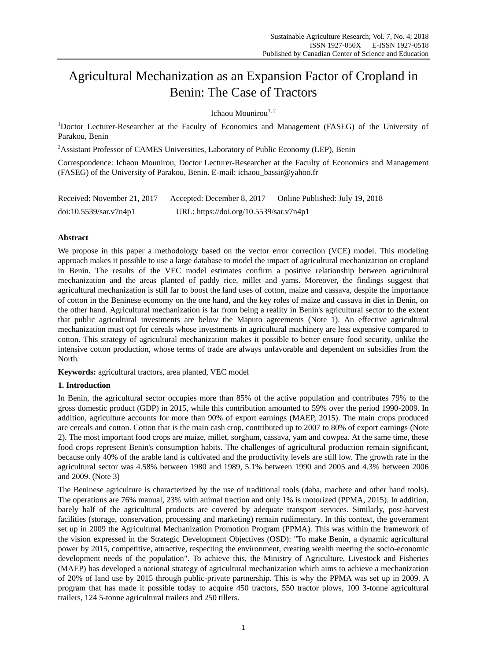# Agricultural Mechanization as an Expansion Factor of Cropland in Benin: The Case of Tractors

Ichaou Mounirou $^{1,2}$ 

<sup>1</sup>Doctor Lecturer-Researcher at the Faculty of Economics and Management (FASEG) of the University of Parakou, Benin

<sup>2</sup>Assistant Professor of CAMES Universities, Laboratory of Public Economy (LEP), Benin

Correspondence: Ichaou Mounirou, Doctor Lecturer-Researcher at the Faculty of Economics and Management (FASEG) of the University of Parakou, Benin. E-mail: ichaou\_bassir@yahoo.fr

| Received: November 21, 2017 | Accepted: December 8, 2017              | Online Published: July 19, 2018 |
|-----------------------------|-----------------------------------------|---------------------------------|
| doi:10.5539/sar.v7n4p1      | URL: https://doi.org/10.5539/sar.v7n4p1 |                                 |

# **Abstract**

We propose in this paper a methodology based on the vector error correction (VCE) model. This modeling approach makes it possible to use a large database to model the impact of agricultural mechanization on cropland in Benin. The results of the VEC model estimates confirm a positive relationship between agricultural mechanization and the areas planted of paddy rice, millet and yams. Moreover, the findings suggest that agricultural mechanization is still far to boost the land uses of cotton, maize and cassava, despite the importance of cotton in the Beninese economy on the one hand, and the key roles of maize and cassava in diet in Benin, on the other hand. Agricultural mechanization is far from being a reality in Benin's agricultural sector to the extent that public agricultural investments are below the Maputo agreements (Note 1). An effective agricultural mechanization must opt for cereals whose investments in agricultural machinery are less expensive compared to cotton. This strategy of agricultural mechanization makes it possible to better ensure food security, unlike the intensive cotton production, whose terms of trade are always unfavorable and dependent on subsidies from the North.

**Keywords:** agricultural tractors, area planted, VEC model

# **1. Introduction**

In Benin, the agricultural sector occupies more than 85% of the active population and contributes 79% to the gross domestic product (GDP) in 2015, while this contribution amounted to 59% over the period 1990-2009. In addition, agriculture accounts for more than 90% of export earnings (MAEP, 2015). The main crops produced are cereals and cotton. Cotton that is the main cash crop, contributed up to 2007 to 80% of export earnings (Note 2). The most important food crops are maize, millet, sorghum, cassava, yam and cowpea. At the same time, these food crops represent Benin's consumption habits. The challenges of agricultural production remain significant, because only 40% of the arable land is cultivated and the productivity levels are still low. The growth rate in the agricultural sector was 4.58% between 1980 and 1989, 5.1% between 1990 and 2005 and 4.3% between 2006 and 2009. (Note 3)

The Beninese agriculture is characterized by the use of traditional tools (daba, machete and other hand tools). The operations are 76% manual, 23% with animal traction and only 1% is motorized (PPMA, 2015). In addition, barely half of the agricultural products are covered by adequate transport services. Similarly, post-harvest facilities (storage, conservation, processing and marketing) remain rudimentary. In this context, the government set up in 2009 the Agricultural Mechanization Promotion Program (PPMA). This was within the framework of the vision expressed in the Strategic Development Objectives (OSD): "To make Benin, a dynamic agricultural power by 2015, competitive, attractive, respecting the environment, creating wealth meeting the socio-economic development needs of the population". To achieve this, the Ministry of Agriculture, Livestock and Fisheries (MAEP) has developed a national strategy of agricultural mechanization which aims to achieve a mechanization of 20% of land use by 2015 through public-private partnership. This is why the PPMA was set up in 2009. A program that has made it possible today to acquire 450 tractors, 550 tractor plows, 100 3-tonne agricultural trailers, 124 5-tonne agricultural trailers and 250 tillers.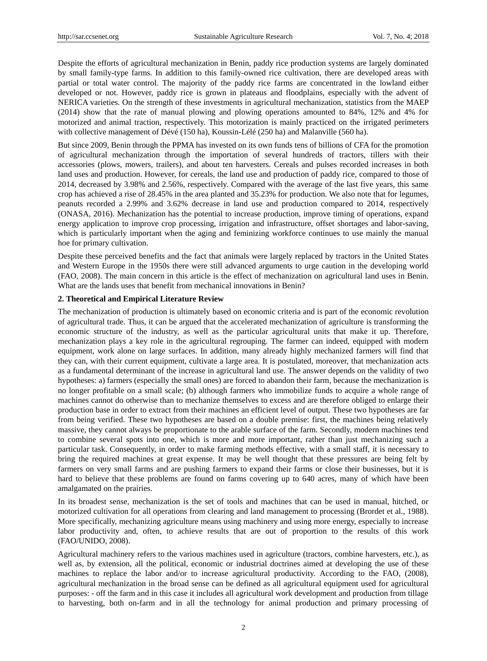Despite the efforts of agricultural mechanization in Benin, paddy rice production systems are largely dominated by small family-type farms. In addition to this family-owned rice cultivation, there are developed areas with partial or total water control. The majority of the paddy rice farms are concentrated in the lowland either developed or not. However, paddy rice is grown in plateaus and floodplains, especially with the advent of NERICA varieties. On the strength of these investments in agricultural mechanization, statistics from the MAEP (2014) show that the rate of manual plowing and plowing operations amounted to 84%, 12% and 4% for motorized and animal traction, respectively. This motorization is mainly practiced on the irrigated perimeters with collective management of D  $\acute{\text{o}}\text{v}$  e (150 ha), Koussin-L  $\acute{\text{d}}\text{e}(250 \text{ ha})$  and Malanville (560 ha).

But since 2009, Benin through the PPMA has invested on its own funds tens of billions of CFA for the promotion of agricultural mechanization through the importation of several hundreds of tractors, tillers with their accessories (plows, mowers, trailers), and about ten harvesters. Cereals and pulses recorded increases in both land uses and production. However, for cereals, the land use and production of paddy rice, compared to those of 2014, decreased by 3.98% and 2.56%, respectively. Compared with the average of the last five years, this same crop has achieved a rise of 28.45% in the area planted and 35.23% for production. We also note that for legumes, peanuts recorded a 2.99% and 3.62% decrease in land use and production compared to 2014, respectively (ONASA, 2016). Mechanization has the potential to increase production, improve timing of operations, expand energy application to improve crop processing, irrigation and infrastructure, offset shortages and labor-saving, which is particularly important when the aging and feminizing workforce continues to use mainly the manual hoe for primary cultivation.

Despite these perceived benefits and the fact that animals were largely replaced by tractors in the United States and Western Europe in the 1950s there were still advanced arguments to urge caution in the developing world (FAO, 2008). The main concern in this article is the effect of mechanization on agricultural land uses in Benin. What are the lands uses that benefit from mechanical innovations in Benin?

# **2. Theoretical and Empirical Literature Review**

The mechanization of production is ultimately based on economic criteria and is part of the economic revolution of agricultural trade. Thus, it can be argued that the accelerated mechanization of agriculture is transforming the economic structure of the industry, as well as the particular agricultural units that make it up. Therefore, mechanization plays a key role in the agricultural regrouping. The farmer can indeed, equipped with modern equipment, work alone on large surfaces. In addition, many already highly mechanized farmers will find that they can, with their current equipment, cultivate a large area. It is postulated, moreover, that mechanization acts as a fundamental determinant of the increase in agricultural land use. The answer depends on the validity of two hypotheses: a) farmers (especially the small ones) are forced to abandon their farm, because the mechanization is no longer profitable on a small scale; (b) although farmers who immobilize funds to acquire a whole range of machines cannot do otherwise than to mechanize themselves to excess and are therefore obliged to enlarge their production base in order to extract from their machines an efficient level of output. These two hypotheses are far from being verified. These two hypotheses are based on a double premise: first, the machines being relatively massive, they cannot always be proportionate to the arable surface of the farm. Secondly, modern machines tend to combine several spots into one, which is more and more important, rather than just mechanizing such a particular task. Consequently, in order to make farming methods effective, with a small staff, it is necessary to bring the required machines at great expense. It may be well thought that these pressures are being felt by farmers on very small farms and are pushing farmers to expand their farms or close their businesses, but it is hard to believe that these problems are found on farms covering up to 640 acres, many of which have been amalgamated on the prairies.

In its broadest sense, mechanization is the set of tools and machines that can be used in manual, hitched, or motorized cultivation for all operations from clearing and land management to processing (Brordet et al., 1988). More specifically, mechanizing agriculture means using machinery and using more energy, especially to increase labor productivity and, often, to achieve results that are out of proportion to the results of this work (FAO/UNIDO, 2008).

Agricultural machinery refers to the various machines used in agriculture (tractors, combine harvesters, etc.), as well as, by extension, all the political, economic or industrial doctrines aimed at developing the use of these machines to replace the labor and/or to increase agricultural productivity. According to the FAO, (2008), agricultural mechanization in the broad sense can be defined as all agricultural equipment used for agricultural purposes: - off the farm and in this case it includes all agricultural work development and production from tillage to harvesting, both on-farm and in all the technology for animal production and primary processing of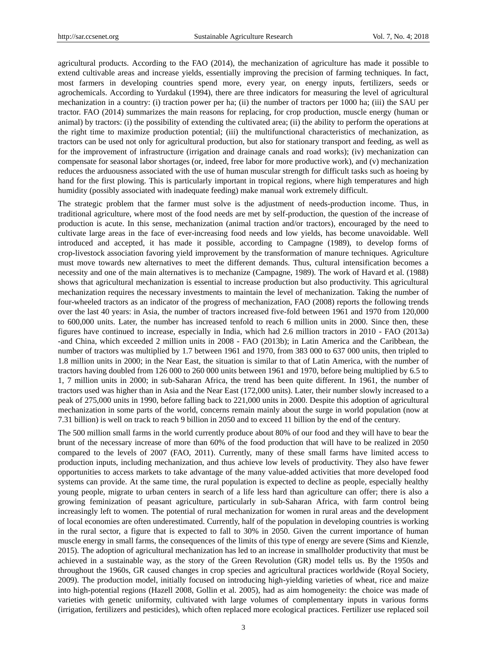agricultural products. According to the FAO (2014), the mechanization of agriculture has made it possible to extend cultivable areas and increase yields, essentially improving the precision of farming techniques. In fact, most farmers in developing countries spend more, every year, on energy inputs, fertilizers, seeds or agrochemicals. According to Yurdakul (1994), there are three indicators for measuring the level of agricultural mechanization in a country: (i) traction power per ha; (ii) the number of tractors per 1000 ha; (iii) the SAU per tractor. FAO (2014) summarizes the main reasons for replacing, for crop production, muscle energy (human or animal) by tractors: (i) the possibility of extending the cultivated area; (ii) the ability to perform the operations at the right time to maximize production potential; (iii) the multifunctional characteristics of mechanization, as tractors can be used not only for agricultural production, but also for stationary transport and feeding, as well as for the improvement of infrastructure (irrigation and drainage canals and road works); (iv) mechanization can compensate for seasonal labor shortages (or, indeed, free labor for more productive work), and (v) mechanization reduces the arduousness associated with the use of human muscular strength for difficult tasks such as hoeing by hand for the first plowing. This is particularly important in tropical regions, where high temperatures and high humidity (possibly associated with inadequate feeding) make manual work extremely difficult.

The strategic problem that the farmer must solve is the adjustment of needs-production income. Thus, in traditional agriculture, where most of the food needs are met by self-production, the question of the increase of production is acute. In this sense, mechanization (animal traction and/or tractors), encouraged by the need to cultivate large areas in the face of ever-increasing food needs and low yields, has become unavoidable. Well introduced and accepted, it has made it possible, according to Campagne (1989), to develop forms of crop-livestock association favoring yield improvement by the transformation of manure techniques. Agriculture must move towards new alternatives to meet the different demands. Thus, cultural intensification becomes a necessity and one of the main alternatives is to mechanize (Campagne, 1989). The work of Havard et al. (1988) shows that agricultural mechanization is essential to increase production but also productivity. This agricultural mechanization requires the necessary investments to maintain the level of mechanization. Taking the number of four-wheeled tractors as an indicator of the progress of mechanization, FAO (2008) reports the following trends over the last 40 years: in Asia, the number of tractors increased five-fold between 1961 and 1970 from 120,000 to 600,000 units. Later, the number has increased tenfold to reach 6 million units in 2000. Since then, these figures have continued to increase, especially in India, which had 2.6 million tractors in 2010 - FAO (2013a) -and China, which exceeded 2 million units in 2008 - FAO (2013b); in Latin America and the Caribbean, the number of tractors was multiplied by 1.7 between 1961 and 1970, from 383 000 to 637 000 units, then tripled to 1.8 million units in 2000; in the Near East, the situation is similar to that of Latin America, with the number of tractors having doubled from 126 000 to 260 000 units between 1961 and 1970, before being multiplied by 6.5 to 1, 7 million units in 2000; in sub-Saharan Africa, the trend has been quite different. In 1961, the number of tractors used was higher than in Asia and the Near East (172,000 units). Later, their number slowly increased to a peak of 275,000 units in 1990, before falling back to 221,000 units in 2000. Despite this adoption of agricultural mechanization in some parts of the world, concerns remain mainly about the surge in world population (now at 7.31 billion) is well on track to reach 9 billion in 2050 and to exceed 11 billion by the end of the century.

The 500 million small farms in the world currently produce about 80% of our food and they will have to bear the brunt of the necessary increase of more than 60% of the food production that will have to be realized in 2050 compared to the levels of 2007 (FAO, 2011). Currently, many of these small farms have limited access to production inputs, including mechanization, and thus achieve low levels of productivity. They also have fewer opportunities to access markets to take advantage of the many value-added activities that more developed food systems can provide. At the same time, the rural population is expected to decline as people, especially healthy young people, migrate to urban centers in search of a life less hard than agriculture can offer; there is also a growing feminization of peasant agriculture, particularly in sub-Saharan Africa, with farm control being increasingly left to women. The potential of rural mechanization for women in rural areas and the development of local economies are often underestimated. Currently, half of the population in developing countries is working in the rural sector, a figure that is expected to fall to 30% in 2050. Given the current importance of human muscle energy in small farms, the consequences of the limits of this type of energy are severe (Sims and Kienzle, 2015). The adoption of agricultural mechanization has led to an increase in smallholder productivity that must be achieved in a sustainable way, as the story of the Green Revolution (GR) model tells us. By the 1950s and throughout the 1960s, GR caused changes in crop species and agricultural practices worldwide (Royal Society, 2009). The production model, initially focused on introducing high-yielding varieties of wheat, rice and maize into high-potential regions (Hazell 2008, Gollin et al. 2005), had as aim homogeneity: the choice was made of varieties with genetic uniformity, cultivated with large volumes of complementary inputs in various forms (irrigation, fertilizers and pesticides), which often replaced more ecological practices. Fertilizer use replaced soil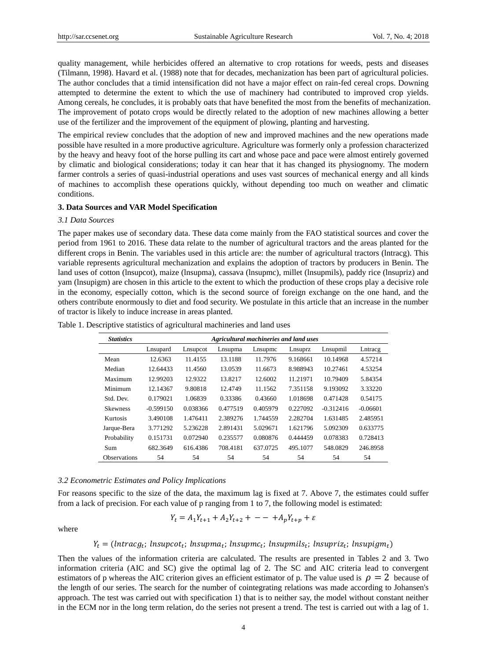quality management, while herbicides offered an alternative to crop rotations for weeds, pests and diseases (Tilmann, 1998). Havard et al. (1988) note that for decades, mechanization has been part of agricultural policies. The author concludes that a timid intensification did not have a major effect on rain-fed cereal crops. Downing attempted to determine the extent to which the use of machinery had contributed to improved crop yields. Among cereals, he concludes, it is probably oats that have benefited the most from the benefits of mechanization. The improvement of potato crops would be directly related to the adoption of new machines allowing a better use of the fertilizer and the improvement of the equipment of plowing, planting and harvesting.

The empirical review concludes that the adoption of new and improved machines and the new operations made possible have resulted in a more productive agriculture. Agriculture was formerly only a profession characterized by the heavy and heavy foot of the horse pulling its cart and whose pace and pace were almost entirely governed by climatic and biological considerations; today it can hear that it has changed its physiognomy. The modern farmer controls a series of quasi-industrial operations and uses vast sources of mechanical energy and all kinds of machines to accomplish these operations quickly, without depending too much on weather and climatic conditions.

## **3. Data Sources and VAR Model Specification**

## *3.1 Data Sources*

The paper makes use of secondary data. These data come mainly from the FAO statistical sources and cover the period from 1961 to 2016. These data relate to the number of agricultural tractors and the areas planted for the different crops in Benin. The variables used in this article are: the number of agricultural tractors (lntracg). This variable represents agricultural mechanization and explains the adoption of tractors by producers in Benin. The land uses of cotton (lnsupcot), maize (lnsupma), cassava (lnsupmc), millet (lnsupmils), paddy rice (lnsupriz) and yam (lnsupigm) are chosen in this article to the extent to which the production of these crops play a decisive role in the economy, especially cotton, which is the second source of foreign exchange on the one hand, and the others contribute enormously to diet and food security. We postulate in this article that an increase in the number of tractor is likely to induce increase in areas planted.

| <b>Statistics</b>   | Agricultural machineries and land uses |          |          |          |          |             |            |  |  |  |
|---------------------|----------------------------------------|----------|----------|----------|----------|-------------|------------|--|--|--|
|                     | Lnsupard                               | Lnsupcot | Lnsupma  | Lnsupmc  | Lnsuprz  | Lnsupmil    | Lntracg    |  |  |  |
| Mean                | 12.6363                                | 11.4155  | 13.1188  | 11.7976  | 9.168661 | 10.14968    | 4.57214    |  |  |  |
| Median              | 12.64433                               | 11.4560  | 13.0539  | 11.6673  | 8.988943 | 10.27461    | 4.53254    |  |  |  |
| Maximum             | 12.99203                               | 12.9322  | 13.8217  | 12.6002  | 11.21971 | 10.79409    | 5.84354    |  |  |  |
| Minimum             | 12.14367                               | 9.80818  | 12.4749  | 11.1562  | 7.351158 | 9.193092    | 3.33220    |  |  |  |
| Std. Dev.           | 0.179021                               | 1.06839  | 0.33386  | 0.43660  | 1.018698 | 0.471428    | 0.54175    |  |  |  |
| <b>Skewness</b>     | $-0.599150$                            | 0.038366 | 0.477519 | 0.405979 | 0.227092 | $-0.312416$ | $-0.06601$ |  |  |  |
| <b>Kurtosis</b>     | 3.490108                               | 1.476411 | 2.389276 | 1.744559 | 2.282704 | 1.631485    | 2.485951   |  |  |  |
| Jarque-Bera         | 3.771292                               | 5.236228 | 2.891431 | 5.029671 | 1.621796 | 5.092309    | 0.633775   |  |  |  |
| Probability         | 0.151731                               | 0.072940 | 0.235577 | 0.080876 | 0.444459 | 0.078383    | 0.728413   |  |  |  |
| Sum                 | 682.3649                               | 616.4386 | 708.4181 | 637.0725 | 495.1077 | 548.0829    | 246.8958   |  |  |  |
| <b>Observations</b> | 54                                     | 54       | 54       | 54       | 54       | 54          | 54         |  |  |  |

Table 1. Descriptive statistics of agricultural machineries and land uses

## *3.2 Econometric Estimates and Policy Implications*

For reasons specific to the size of the data, the maximum lag is fixed at 7. Above 7, the estimates could suffer from a lack of precision. For each value of p ranging from 1 to 7, the following model is estimated:

$$
Y_t = A_1 Y_{t+1} + A_2 Y_{t+2} + - - + A_p Y_{t+p} + \varepsilon
$$

where

$$
Y_t = (Intracg_t; Insupcot_t; Insupma_t; Insupmc_t; Insupmils_t; Insupriz_t; Insupigm_t)
$$

Then the values of the information criteria are calculated. The results are presented in Tables 2 and 3. Two information criteria (AIC and SC) give the optimal lag of 2. The SC and AIC criteria lead to convergent estimators of p whereas the AIC criterion gives an efficient estimator of p. The value used is  $\rho = 2$  because of the length of our series. The search for the number of cointegrating relations was made according to Johansen's approach. The test was carried out with specification 1) that is to neither say, the model without constant neither in the ECM nor in the long term relation, do the series not present a trend. The test is carried out with a lag of 1.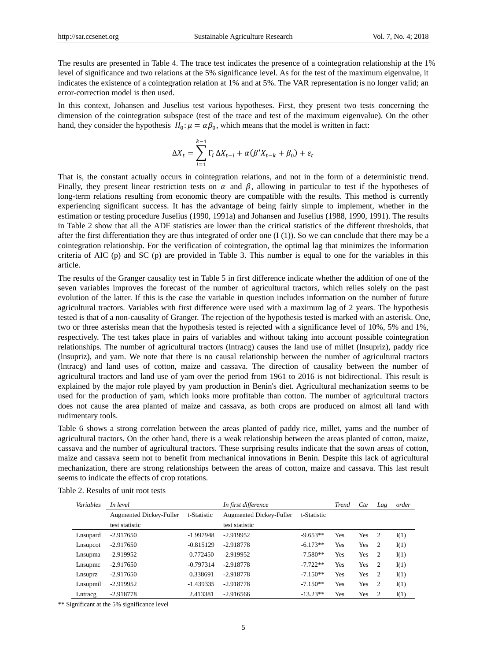The results are presented in Table 4. The trace test indicates the presence of a cointegration relationship at the 1% level of significance and two relations at the 5% significance level. As for the test of the maximum eigenvalue, it indicates the existence of a cointegration relation at 1% and at 5%. The VAR representation is no longer valid; an error-correction model is then used.

In this context, Johansen and Juselius test various hypotheses. First, they present two tests concerning the dimension of the cointegration subspace (test of the trace and test of the maximum eigenvalue). On the other hand, they consider the hypothesis  $H_0: \mu = \alpha \beta_0$ , which means that the model is written in fact:

$$
\Delta X_t = \sum_{i=1}^{k-1} \Gamma_i \, \Delta X_{t-i} + \alpha (\beta' X_{t-k} + \beta_0) + \varepsilon_t
$$

That is, the constant actually occurs in cointegration relations, and not in the form of a deterministic trend. Finally, they present linear restriction tests on  $\alpha$  and  $\beta$ , allowing in particular to test if the hypotheses of long-term relations resulting from economic theory are compatible with the results. This method is currently experiencing significant success. It has the advantage of being fairly simple to implement, whether in the estimation or testing procedure Juselius (1990, 1991a) and Johansen and Juselius (1988, 1990, 1991). The results in Table 2 show that all the ADF statistics are lower than the critical statistics of the different thresholds, that after the first differentiation they are thus integrated of order one (I (1)). So we can conclude that there may be a cointegration relationship. For the verification of cointegration, the optimal lag that minimizes the information criteria of AIC (p) and SC (p) are provided in Table 3. This number is equal to one for the variables in this article.

The results of the Granger causality test in Table 5 in first difference indicate whether the addition of one of the seven variables improves the forecast of the number of agricultural tractors, which relies solely on the past evolution of the latter. If this is the case the variable in question includes information on the number of future agricultural tractors. Variables with first difference were used with a maximum lag of 2 years. The hypothesis tested is that of a non-causality of Granger. The rejection of the hypothesis tested is marked with an asterisk. One, two or three asterisks mean that the hypothesis tested is rejected with a significance level of 10%, 5% and 1%, respectively. The test takes place in pairs of variables and without taking into account possible cointegration relationships. The number of agricultural tractors (lntracg) causes the land use of millet (lnsupriz), paddy rice (lnsupriz), and yam. We note that there is no causal relationship between the number of agricultural tractors (lntracg) and land uses of cotton, maize and cassava. The direction of causality between the number of agricultural tractors and land use of yam over the period from 1961 to 2016 is not bidirectional. This result is explained by the major role played by yam production in Benin's diet. Agricultural mechanization seems to be used for the production of yam, which looks more profitable than cotton. The number of agricultural tractors does not cause the area planted of maize and cassava, as both crops are produced on almost all land with rudimentary tools.

Table 6 shows a strong correlation between the areas planted of paddy rice, millet, yams and the number of agricultural tractors. On the other hand, there is a weak relationship between the areas planted of cotton, maize, cassava and the number of agricultural tractors. These surprising results indicate that the sown areas of cotton, maize and cassava seem not to benefit from mechanical innovations in Benin. Despite this lack of agricultural mechanization, there are strong relationships between the areas of cotton, maize and cassava. This last result seems to indicate the effects of crop rotations.

| Variables | In level                |             | In first difference     | <b>Trend</b> | Cte | Lag | order          |      |
|-----------|-------------------------|-------------|-------------------------|--------------|-----|-----|----------------|------|
|           | Augmented Dickey-Fuller | t-Statistic | Augmented Dickey-Fuller | t-Statistic  |     |     |                |      |
|           | test statistic          |             | test statistic          |              |     |     |                |      |
| Lnsupard  | $-2.917650$             | $-1.997948$ | $-2.919952$             | $-9.653**$   | Yes | Yes | 2              | I(1) |
| Lnsupcot  | $-2.917650$             | $-0.815129$ | $-2.918778$             | $-6.173**$   | Yes | Yes | 2              | I(1) |
| Lnsupma   | $-2.919952$             | 0.772450    | $-2.919952$             | $-7.580**$   | Yes | Yes | 2              | I(1) |
| Lnsupme   | $-2.917650$             | $-0.797314$ | $-2.918778$             | $-7.722**$   | Yes | Yes | 2              | I(1) |
| Lnsuprz   | $-2.917650$             | 0.338691    | $-2.918778$             | $-7.150**$   | Yes | Yes | $\overline{2}$ | I(1) |
| Lnsupmil  | $-2.919952$             | $-1.439335$ | $-2.918778$             | $-7.150**$   | Yes | Yes | 2              | I(1) |
| Lntracg   | $-2.918778$             | 2.413381    | $-2.916566$             | $-13.23**$   | Yes | Yes |                | I(1) |

Table 2. Results of unit root tests

\*\* Significant at the 5% significance level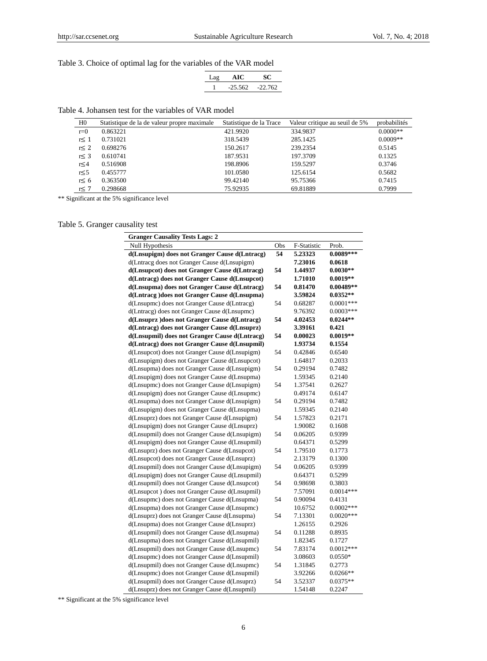# Table 3. Choice of optimal lag for the variables of the VAR model

| Laσ | AIC      | se s    |
|-----|----------|---------|
|     | -25.562. | -22.762 |

| Table 4. Johansen test for the variables of VAR model |
|-------------------------------------------------------|
|-------------------------------------------------------|

| H <sub>0</sub> | Statistique de la de valeur propre maximale | Statistique de la Trace | Valeur critique au seuil de 5% | probabilités |
|----------------|---------------------------------------------|-------------------------|--------------------------------|--------------|
| $r=0$          | 0.863221                                    | 421.9920                | 334.9837                       | $0.0000**$   |
| r<1            | 0.731021                                    | 318.5439                | 285.1425                       | $0.0009**$   |
| r<2            | 0.698276                                    | 150.2617                | 239.2354                       | 0.5145       |
| $r<$ 3         | 0.610741                                    | 187.9531                | 197.3709                       | 0.1325       |
| r<4            | 0.516908                                    | 198.8906                | 159.5297                       | 0.3746       |
| r<5            | 0.455777                                    | 101.0580                | 125.6154                       | 0.5682       |
| r < 6          | 0.363500                                    | 99.42140                | 95.75366                       | 0.7415       |
| $r \leq 7$     | 0.298668                                    | 75.92935                | 69.81889                       | 0.7999       |

\*\* Significant at the 5% significance level

Table 5. Granger causality test

| <b>Granger Causality Tests Lags: 2</b>         |     |             |             |
|------------------------------------------------|-----|-------------|-------------|
| Null Hypothesis                                | Obs | F-Statistic | Prob.       |
| d(Lnsupigm) does not Granger Cause d(Lntracg)  | 54  | 5.23323     | $0.0089***$ |
| d(Lntracg does not Granger Cause d(Lnsupigm)   |     | 7.23016     | 0.0618      |
| d(Lnsupcot) does not Granger Cause d(Lntracg)  | 54  | 1.44937     | $0.0030**$  |
| d(Lntracg) does not Granger Cause d(Lnsupcot)  |     | 1.71010     | $0.0019**$  |
| d(Lnsupma) does not Granger Cause d(Lntracg)   | 54  | 0.81470     | $0.00489**$ |
| d(Lntracg) does not Granger Cause d(Lnsupma)   |     | 3.59824     | $0.0352**$  |
| d(Lnsupmc) does not Granger Cause d(Lntracg)   | 54  | 0.68287     | $0.0001***$ |
| d(Lntracg) does not Granger Cause d(Lnsupmc)   |     | 9.76392     | $0.0003***$ |
| d(Lnsuprz)does not Granger Cause d(Lntracg)    | 54  | 4.02453     | $0.0244**$  |
| d(Lntracg) does not Granger Cause d(Lnsuprz)   |     | 3.39161     | 0.421       |
| d(Lnsupmil) does not Granger Cause d(Lntracg)  | 54  | 0.00023     | $0.0019**$  |
| d(Lntracg) does not Granger Cause d(Lnsupmil)  |     | 1.93734     | 0.1554      |
| d(Lnsupcot) does not Granger Cause d(Lnsupigm) | 54  | 0.42846     | 0.6540      |
| d(Lnsupigm) does not Granger Cause d(Lnsupcot) |     | 1.64817     | 0.2033      |
| d(Lnsupma) does not Granger Cause d(Lnsupigm)  | 54  | 0.29194     | 0.7482      |
| d(Lnsupigm) does not Granger Cause d(Lnsupma)  |     | 1.59345     | 0.2140      |
| d(Lnsupmc) does not Granger Cause d(Lnsupigm)  | 54  | 1.37541     | 0.2627      |
| d(Lnsupigm) does not Granger Cause d(Lnsupmc)  |     | 0.49174     | 0.6147      |
| d(Lnsupma) does not Granger Cause d(Lnsupigm)  | 54  | 0.29194     | 0.7482      |
| d(Lnsupigm) does not Granger Cause d(Lnsupma)  |     | 1.59345     | 0.2140      |
| d(Lnsuprz) does not Granger Cause d(Lnsupigm)  | 54  | 1.57823     | 0.2171      |
| d(Lnsupigm) does not Granger Cause d(Lnsuprz)  |     | 1.90082     | 0.1608      |
| d(Lnsupmil) does not Granger Cause d(Lnsupigm) | 54  | 0.06205     | 0.9399      |
| d(Lnsupigm) does not Granger Cause d(Lnsupmil) |     | 0.64371     | 0.5299      |
| d(Lnsuprz) does not Granger Cause d(Lnsupcot)  | 54  | 1.79510     | 0.1773      |
| d(Lnsupcot) does not Granger Cause d(Lnsuprz)  |     | 2.13179     | 0.1300      |
| d(Lnsupmil) does not Granger Cause d(Lnsupigm) | 54  | 0.06205     | 0.9399      |
| d(Lnsupigm) does not Granger Cause d(Lnsupmil) |     | 0.64371     | 0.5299      |
| d(Lnsupmil) does not Granger Cause d(Lnsupcot) | 54  | 0.98698     | 0.3803      |
| d(Lnsupcot) does not Granger Cause d(Lnsupmil) |     | 7.57091     | $0.0014***$ |
| d(Lnsupmc) does not Granger Cause d(Lnsupma)   | 54  | 0.90094     | 0.4131      |
| d(Lnsupma) does not Granger Cause d(Lnsupmc)   |     | 10.6752     | $0.0002***$ |
| d(Lnsuprz) does not Granger Cause d(Lnsupma)   | 54  | 7.13301     | $0.0020***$ |
| d(Lnsupma) does not Granger Cause d(Lnsuprz)   |     | 1.26155     | 0.2926      |
| d(Lnsupmil) does not Granger Cause d(Lnsupma)  | 54  | 0.11288     | 0.8935      |
| d(Lnsupma) does not Granger Cause d(Lnsupmil)  |     | 1.82345     | 0.1727      |
| d(Lnsupmil) does not Granger Cause d(Lnsupmc)  | 54  | 7.83174     | $0.0012***$ |
| d(Lnsupmc) does not Granger Cause d(Lnsupmil)  |     | 3.08603     | $0.0550*$   |
| d(Lnsupmil) does not Granger Cause d(Lnsupmc)  | 54  | 1.31845     | 0.2773      |
| d(Lnsupmc) does not Granger Cause d(Lnsupmil)  |     | 3.92266     | $0.0266**$  |
| d(Lnsupmil) does not Granger Cause d(Lnsuprz)  | 54  | 3.52337     | $0.0375**$  |
| d(Lnsuprz) does not Granger Cause d(Lnsupmil)  |     | 1.54148     | 0.2247      |

\*\* Significant at the 5% significance level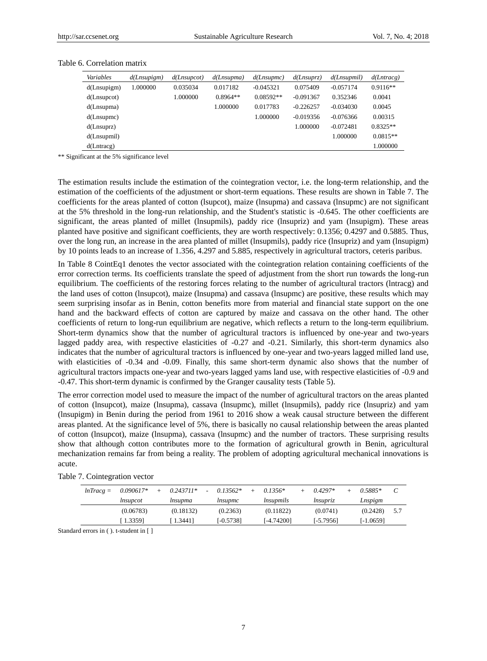| Variables   | d(Lnsupigm) | d(Lnsupcot) | d(Lnsupma) | d(Lnsupmc)  | d(Lnsuprz)  | d(Lnsupmil) | d(Lntracg) |
|-------------|-------------|-------------|------------|-------------|-------------|-------------|------------|
| d(Lnsupigm) | 1.000000    | 0.035034    | 0.017182   | $-0.045321$ | 0.075409    | $-0.057174$ | $0.9116**$ |
| d(Lnsupcot) |             | 1.000000    | $0.8964**$ | $0.08592**$ | $-0.091367$ | 0.352346    | 0.0041     |
| d(Lnsupma)  |             |             | 1.000000   | 0.017783    | $-0.226257$ | $-0.034030$ | 0.0045     |
| d(Lnsupmc)  |             |             |            | 1.000000    | $-0.019356$ | $-0.076366$ | 0.00315    |
| d(Lnsuprz)  |             |             |            |             | 1.000000    | $-0.072481$ | $0.8325**$ |
| d(Lnsupmi)  |             |             |            |             |             | 1.000000    | $0.0815**$ |
| d(Lntrace)  |             |             |            |             |             |             | 1.000000   |

#### Table 6. Correlation matrix

\*\* Significant at the 5% significance level

The estimation results include the estimation of the cointegration vector, i.e. the long-term relationship, and the estimation of the coefficients of the adjustment or short-term equations. These results are shown in Table 7. The coefficients for the areas planted of cotton (lsupcot), maize (lnsupma) and cassava (lnsupmc) are not significant at the 5% threshold in the long-run relationship, and the Student's statistic is -0.645. The other coefficients are significant, the areas planted of millet (lnsupmils), paddy rice (lnsupriz) and yam (lnsupigm). These areas planted have positive and significant coefficients, they are worth respectively: 0.1356; 0.4297 and 0.5885. Thus, over the long run, an increase in the area planted of millet (lnsupmils), paddy rice (lnsupriz) and yam (lnsupigm) by 10 points leads to an increase of 1.356, 4.297 and 5.885, respectively in agricultural tractors, ceteris paribus.

In Table 8 CointEq1 denotes the vector associated with the cointegration relation containing coefficients of the error correction terms. Its coefficients translate the speed of adjustment from the short run towards the long-run equilibrium. The coefficients of the restoring forces relating to the number of agricultural tractors (lntracg) and the land uses of cotton (lnsupcot), maize (lnsupma) and cassava (lnsupmc) are positive, these results which may seem surprising insofar as in Benin, cotton benefits more from material and financial state support on the one hand and the backward effects of cotton are captured by maize and cassava on the other hand. The other coefficients of return to long-run equilibrium are negative, which reflects a return to the long-term equilibrium. Short-term dynamics show that the number of agricultural tractors is influenced by one-year and two-years lagged paddy area, with respective elasticities of -0.27 and -0.21. Similarly, this short-term dynamics also indicates that the number of agricultural tractors is influenced by one-year and two-years lagged milled land use, with elasticities of -0.34 and -0.09. Finally, this same short-term dynamic also shows that the number of agricultural tractors impacts one-year and two-years lagged yams land use, with respective elasticities of -0.9 and -0.47. This short-term dynamic is confirmed by the Granger causality tests (Table 5).

The error correction model used to measure the impact of the number of agricultural tractors on the areas planted of cotton (lnsupcot), maize (lnsupma), cassava (lnsupmc), millet (lnsupmils), paddy rice (lnsupriz) and yam (lnsupigm) in Benin during the period from 1961 to 2016 show a weak causal structure between the different areas planted. At the significance level of 5%, there is basically no causal relationship between the areas planted of cotton (lnsupcot), maize (lnsupma), cassava (lnsupmc) and the number of tractors. These surprising results show that although cotton contributes more to the formation of agricultural growth in Benin, agricultural mechanization remains far from being a reality. The problem of adopting agricultural mechanical innovations is acute.

| $lnTrace =$ | 0.090617* | $0.243711* - 0.13562*$ |             | $+$ 0.1356*  | $0.4297*$       | 0.5885*   |       |
|-------------|-----------|------------------------|-------------|--------------|-----------------|-----------|-------|
|             | lnsupcot  | lnsupma                | lnsupmc     | lnsupmils    | <i>lnsupriz</i> | Lnspigm   |       |
|             | (0.06783) | (0.18132)              | (0.2363)    | (0.11822)    | (0.0741)        | (0.2428)  | - 5.7 |
|             | [1.3359]  | 1.34411                | $[-0.5738]$ | $[-4.74200]$ | [-5.7956]       | [-1.0659] |       |

Standard errors in ( ). t-student in [ ]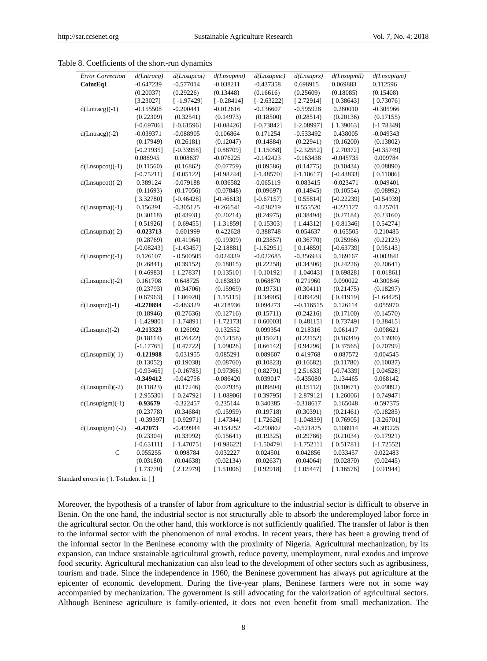# Table 8. Coefficients of the short-run dynamics

| Error Correction   | d(Lntracg)   | d(Lnsupcot)  | d(Lnsupma)   | d(Lnsupmc)   | d(Lnsuprz)   | d(Lnsupmil)  | d(Lnsupigm)  |
|--------------------|--------------|--------------|--------------|--------------|--------------|--------------|--------------|
| CointEq1           | $-0.647239$  | $-0.577014$  | $-0.038211$  | $-0.437358$  | 0.698915     | 0.069883     | 0.112596     |
|                    | (0.20037)    | (0.29226)    | (0.13448)    | (0.16616)    | (0.25609)    | (0.18085)    | (0.15408)    |
|                    | [3.23027]    | $[-1.97429]$ | $[-0.28414]$ | $[-2.63222]$ | [2.72914]    | [0.38643]    | [0.73076]    |
| $d(Lntracg)(-1)$   | $-0.155508$  | $-0.200441$  | $-0.012616$  | $-0.136607$  | $-0.595928$  | 0.280010     | $-0.305966$  |
|                    | (0.22309)    | (0.32541)    | (0.14973)    | (0.18500)    | (0.28514)    | (0.20136)    | (0.17155)    |
|                    | $[-0.69706]$ | $[-0.61596]$ | $[-0.08426]$ | $[-0.73842]$ | $[-2.08997]$ | [1.39063]    | $[-1.78349]$ |
| $d(Lntracg)(-2)$   | $-0.039371$  | $-0.088905$  | 0.106864     | 0.171254     | $-0.533492$  | 0.438005     | $-0.049343$  |
|                    | (0.17949)    | (0.26181)    | (0.12047)    | (0.14884)    | (0.22941)    | (0.16200)    | (0.13802)    |
|                    | $[-0.21935]$ | $[-0.33958]$ | [0.88709]    | [1.15058]    | $[-2.32552]$ | [2.70372]    | $[-0.35749]$ |
|                    | 0.086945     | 0.008637     | $-0.076225$  | $-0.142423$  | $-0.163438$  | $-0.045735$  | 0.009784     |
| $d(Lnsupcot)(-1)$  | (0.11560)    | (0.16862)    | (0.07759)    | (0.09586)    | (0.14775)    | (0.10434)    | (0.08890)    |
|                    | $[-0.75211]$ | [0.05122]    | $[-0.98244]$ | $[-1.48570]$ | $[-1.10617]$ | $[-0.43833]$ | [0.11006]    |
| $d(Lnsupcot)(-2)$  | 0.389124     | $-0.079188$  | $-0.036582$  | $-0.065119$  | 0.083415     | $-0.023471$  | $-0.049401$  |
|                    | (0.11693)    | (0.17056)    | (0.07848)    | (0.09697)    | (0.14945)    | (0.10554)    | (0.08992)    |
|                    | [3.32780]    | $[-0.46428]$ | $[-0.46613]$ | $[-0.67157]$ | [0.55814]    | $[-0.22239]$ | $[-0.54939]$ |
| $d(Lnsupma)(-1)$   | 0.156391     | $-0.305125$  | $-0.266541$  | $-0.038219$  | 0.555520     | $-0.221127$  | 0.125701     |
|                    | (0.30118)    | (0.43931)    | (0.20214)    | (0.24975)    | (0.38494)    | (0.27184)    | (0.23160)    |
|                    | [0.51926]    | $[-0.69455]$ | $[-1.31859]$ | $[-0.15303]$ | [1.44312]    | $[-0.81346]$ | [0.54274]    |
| $d(Lnsupma)(-2)$   | $-0.023713$  | $-0.601999$  | $-0.422628$  | $-0.388748$  | 0.054637     | $-0.165505$  | 0.210485     |
|                    | (0.28769)    | (0.41964)    | (0.19309)    | (0.23857)    | (0.36770)    | (0.25966)    | (0.22123)    |
|                    | $[-0.08243]$ | $[-1.43457]$ | $[-2.18881]$ | $[-1.62951]$ | [0.14859]    | $[-0.63739]$ | [0.95143]    |
| $d(Lnsupmc)(-1)$   | 0.126107     | $-0.500505$  | 0.024339     | $-0.022685$  | $-0.356933$  | 0.169167     | $-0.003841$  |
|                    | (0.26841)    | (0.39152)    | (0.18015)    | (0.22258)    | (0.34306)    | (0.24226)    | (0.20641)    |
|                    | [0.46983]    | [1.27837]    | [0.13510]    | $[-0.10192]$ | $[-1.04043]$ | [0.69828]    | $[-0.01861]$ |
| $d(Lnsupmc)(-2)$   | 0.161708     | 0.648725     | 0.183830     | 0.068870     | 0.271960     | 0.090022     | $-0.300846$  |
|                    | (0.23793)    | (0.34706)    | (0.15969)    | (0.19731)    | (0.30411)    | (0.21475)    | (0.18297)    |
|                    | [0.67963]    | [1.86920]    | [1.15115]    | [0.34905]    | [0.89429]    | [0.41919]    | $[-1.64425]$ |
| $d(Lnsuprz)(-1)$   | $-0.270894$  | $-0.483329$  | $-0.218936$  | 0.094273     | $-0.116515$  | 0.126114     | 0.055970     |
|                    | (0.18946)    | (0.27636)    | (0.12716)    | (0.15711)    | (0.24216)    | (0.17100)    | (0.14570)    |
|                    | $[-1.42980]$ | $[-1.74891]$ | $[-1.72173]$ | [0.60003]    | $[-0.48115]$ | [0.73749]    | [0.38415]    |
| $d(Lnsuprz)(-2)$   | $-0.213323$  | 0.126092     | 0.132552     | 0.099354     | 0.218316     | 0.061417     | 0.098621     |
|                    | (0.18114)    | (0.26422)    | (0.12158)    | (0.15021)    | (0.23152)    | (0.16349)    | (0.13930)    |
|                    | $[-1.17765]$ | [0.47722]    | [1.09028]    | [0.66142]    | [0.94296]    | [0.37565]    | [0.70799]    |
| $d(Lnsumil)(-1)$   | $-0.121988$  | $-0.031955$  | 0.085291     | 0.089607     | 0.419768     | $-0.087572$  | 0.004545     |
|                    | (0.13052)    | (0.19038)    | (0.08760)    | (0.10823)    | (0.16682)    | (0.11780)    | (0.10037)    |
|                    | $[-0.93465]$ | $[-0.16785]$ | [0.97366]    | [0.82791]    | [2.51633]    | $[-0.74339]$ | [0.04528]    |
|                    | $-0.349412$  | $-0.042756$  | $-0.086420$  | 0.039017     | $-0.435080$  | 0.134465     | 0.068142     |
| $d(Lnsumil)(-2)$   | (0.11823)    | (0.17246)    | (0.07935)    | (0.09804)    | (0.15112)    | (0.10671)    | (0.09092)    |
|                    | $[-2.95530]$ | $[-0.24792]$ | $[-1.08906]$ | [0.39795]    | $[-2.87912]$ | [1.26006]    | [0.74947]    |
| $d(Lnsupigm)(-1)$  | $-0.93679$   | $-0.322457$  | 0.235144     | 0.340385     | $-0.318617$  | 0.165048     | $-0.597375$  |
|                    | (0.23778)    | (0.34684)    | (0.15959)    | (0.19718)    | (0.30391)    | (0.21461)    | (0.18285)    |
|                    | $[-0.39397]$ | $[-0.92971]$ | [1.47344]    | [1.72626]    | $[-1.04839]$ | [0.76905]    | $[-3.26701]$ |
| $d(Lnsupigm) (-2)$ | $-0.47073$   | $-0.499944$  | $-0.154252$  | $-0.290802$  | $-0.521875$  | 0.108914     | $-0.309225$  |
|                    | (0.23304)    | (0.33992)    | (0.15641)    | (0.19325)    | (0.29786)    | (0.21034)    | (0.17921)    |
|                    | $[-0.63111]$ | $[-1.47075]$ | $[-0.98622]$ | $[-1.50479]$ | $[-1.75211]$ | [0.51781]    | $[-1.72552]$ |
| $\mathbf C$        | 0.055255     | 0.098784     | 0.032227     | 0.024501     | 0.042856     | 0.033457     | 0.022483     |
|                    | (0.03180)    | (0.04638)    | (0.02134)    | (0.02637)    | (0.04064)    | (0.02870)    | (0.02445)    |
|                    | [1.73770]    | [2.12979]    | [1.51006]    | [0.92918]    | [1.05447]    | [1.16576]    | [0.91944]    |

Standard errors in ( ). T-student in [ ]

Moreover, the hypothesis of a transfer of labor from agriculture to the industrial sector is difficult to observe in Benin. On the one hand, the industrial sector is not structurally able to absorb the underemployed labor force in the agricultural sector. On the other hand, this workforce is not sufficiently qualified. The transfer of labor is then to the informal sector with the phenomenon of rural exodus. In recent years, there has been a growing trend of the informal sector in the Beninese economy with the proximity of Nigeria. Agricultural mechanization, by its expansion, can induce sustainable agricultural growth, reduce poverty, unemployment, rural exodus and improve food security. Agricultural mechanization can also lead to the development of other sectors such as agribusiness, tourism and trade. Since the independence in 1960, the Beninese government has always put agriculture at the epicenter of economic development. During the five-year plans, Beninese farmers were not in some way accompanied by mechanization. The government is still advocating for the valorization of agricultural sectors. Although Beninese agriculture is family-oriented, it does not even benefit from small mechanization. The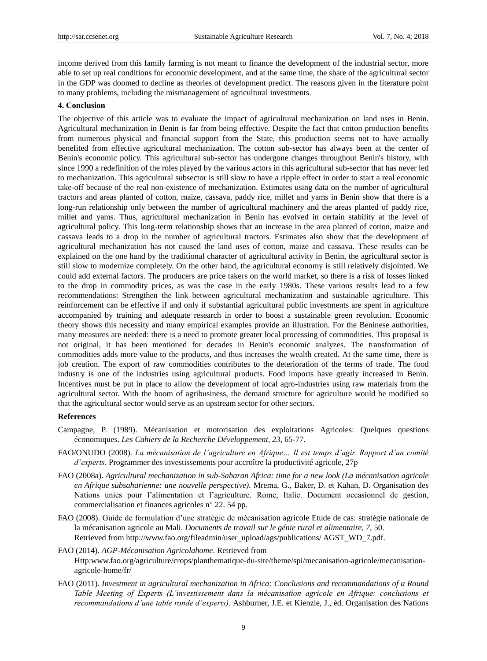income derived from this family farming is not meant to finance the development of the industrial sector, more able to set up real conditions for economic development, and at the same time, the share of the agricultural sector in the GDP was doomed to decline as theories of development predict. The reasons given in the literature point to many problems, including the mismanagement of agricultural investments.

## **4. Conclusion**

The objective of this article was to evaluate the impact of agricultural mechanization on land uses in Benin. Agricultural mechanization in Benin is far from being effective. Despite the fact that cotton production benefits from numerous physical and financial support from the State, this production seems not to have actually benefited from effective agricultural mechanization. The cotton sub-sector has always been at the center of Benin's economic policy. This agricultural sub-sector has undergone changes throughout Benin's history, with since 1990 a redefinition of the roles played by the various actors in this agricultural sub-sector that has never led to mechanization. This agricultural subsector is still slow to have a ripple effect in order to start a real economic take-off because of the real non-existence of mechanization. Estimates using data on the number of agricultural tractors and areas planted of cotton, maize, cassava, paddy rice, millet and yams in Benin show that there is a long-run relationship only between the number of agricultural machinery and the areas planted of paddy rice, millet and yams. Thus, agricultural mechanization in Benin has evolved in certain stability at the level of agricultural policy. This long-term relationship shows that an increase in the area planted of cotton, maize and cassava leads to a drop in the number of agricultural tractors. Estimates also show that the development of agricultural mechanization has not caused the land uses of cotton, maize and cassava. These results can be explained on the one hand by the traditional character of agricultural activity in Benin, the agricultural sector is still slow to modernize completely. On the other hand, the agricultural economy is still relatively disjointed. We could add external factors. The producers are price takers on the world market, so there is a risk of losses linked to the drop in commodity prices, as was the case in the early 1980s. These various results lead to a few recommendations: Strengthen the link between agricultural mechanization and sustainable agriculture. This reinforcement can be effective if and only if substantial agricultural public investments are spent in agriculture accompanied by training and adequate research in order to boost a sustainable green revolution. Economic theory shows this necessity and many empirical examples provide an illustration. For the Beninese authorities, many measures are needed: there is a need to promote greater local processing of commodities. This proposal is not original, it has been mentioned for decades in Benin's economic analyzes. The transformation of commodities adds more value to the products, and thus increases the wealth created. At the same time, there is job creation. The export of raw commodities contributes to the deterioration of the terms of trade. The food industry is one of the industries using agricultural products. Food imports have greatly increased in Benin. Incentives must be put in place to allow the development of local agro-industries using raw materials from the agricultural sector. With the boom of agribusiness, the demand structure for agriculture would be modified so that the agricultural sector would serve as an upstream sector for other sectors.

## **References**

- Campagne, P. (1989). Mécanisation et motorisation des exploitations Agricoles: Quelques questions économiques. *Les Cahiers de la Recherche Développement, 23*, 65-77.
- FAO/ONUDO (2008). *La mécanisation de l'agriculture en Afrique… Il est temps d'agir. Rapport d'un comité d'experts*. Programmer des investissements pour accro în la productivité agricole, 27p
- FAO (2008a). *Agricultural mechanization in sub-Saharan Africa: time for a new look (La mécanisation agricole en Afrique subsaharienne: une nouvelle perspective)*. Mrema, G., Baker, D. et Kahan, D. Organisation des Nations unies pour l'alimentation et l'agriculture. Rome, Italie. Document occasionnel de gestion, commercialisation et finances agricoles n° 22. 54 pp.
- FAO (2008). Guide de formulation d'une stratégie de mécanisation agricole Etude de cas: stratégie nationale de la mécanisation agricole au Mali. *Documents de travail sur le génie rural et alimentaire, 7*, 50. Retrieved from http:/[/www.fao.org/fileadmin/user\\_upload/ags/publications/](http://www.fao.org/fileadmin/user_upload/ags/publications/) AGST\_WD\_7.pdf.
- FAO (2014). *AGP-Mécanisation Agricolahome*. Retrieved from Http:www.fao.org/agriculture/crops/planthematique-du-site/theme/spi/mecanisation-agricole/mecanisationagricole-home/fr/
- FAO (2011). *Investment in agricultural mechanization in Africa: Conclusions and recommandations of a Round Table Meeting of Experts (L'investissement dans la mécanisation agricole en Afrique: conclusions et recommandations d'une table ronde d'experts)*. Ashburner, J.E. et Kienzle, J., éd. Organisation des Nations